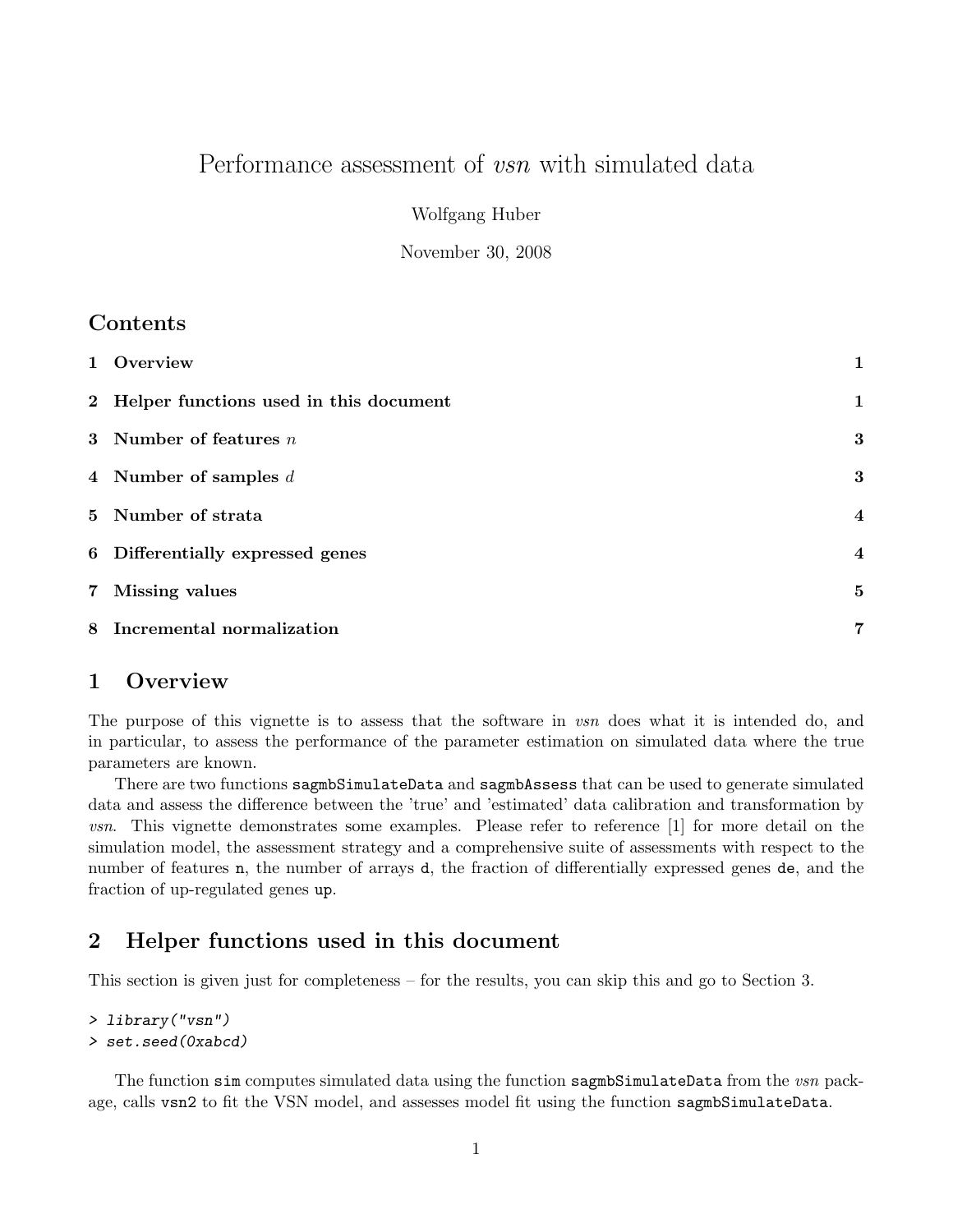# Performance assessment of *vsn* with simulated data

Wolfgang Huber

November 30, 2008

### Contents

| 1 Overview                               | 1                       |
|------------------------------------------|-------------------------|
| 2 Helper functions used in this document | 1                       |
| 3 Number of features $n$                 | 3                       |
| 4 Number of samples $d$                  | 3                       |
| 5 Number of strata                       | $\overline{\mathbf{4}}$ |
| 6 Differentially expressed genes         | $\overline{\mathbf{4}}$ |
| 7 Missing values                         | $\bf{5}$                |
| 8 Incremental normalization              | 7                       |

#### 1 Overview

The purpose of this vignette is to assess that the software in vsn does what it is intended do, and in particular, to assess the performance of the parameter estimation on simulated data where the true parameters are known.

There are two functions sagmbSimulateData and sagmbAssess that can be used to generate simulated data and assess the difference between the 'true' and 'estimated' data calibration and transformation by vsn. This vignette demonstrates some examples. Please refer to reference [1] for more detail on the simulation model, the assessment strategy and a comprehensive suite of assessments with respect to the number of features **n**, the number of arrays **d**, the fraction of differentially expressed genes **de**, and the fraction of up-regulated genes up.

### 2 Helper functions used in this document

This section is given just for completeness – for the results, you can skip this and go to Section 3.

```
> library("vsn")
> set.seed(0xabcd)
```
The function sim computes simulated data using the function sagmbSimulateData from the vsn package, calls vsn2 to fit the VSN model, and assesses model fit using the function sagmbSimulateData.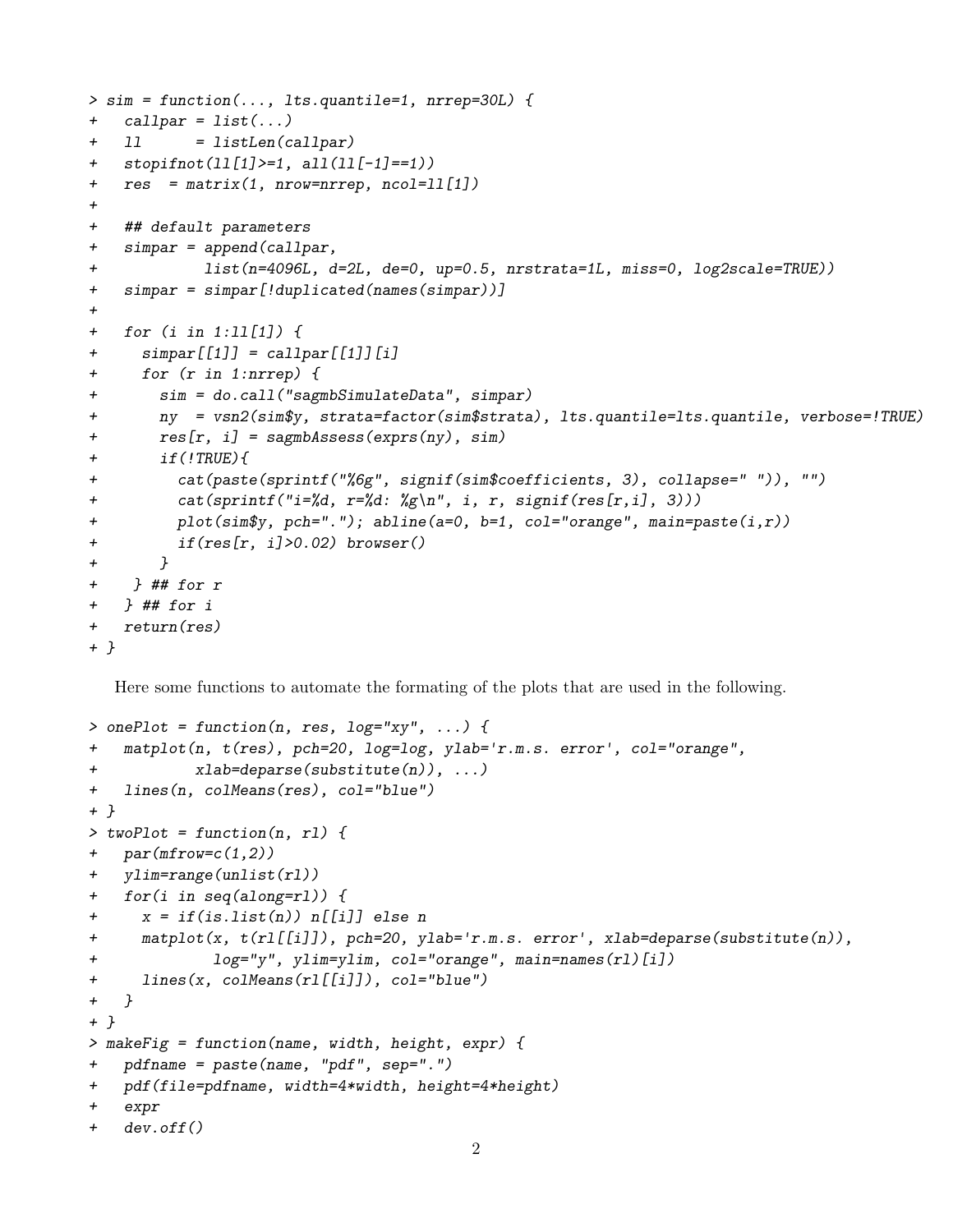```
> sim = function(..., lts.quantile=1, nrrep=30L) {
+ \text{call}par = list(...)+ 11 = listLen(callpar)
+ stopifnot(ll[1]>=1, all(ll[-1]==1))
+ res = matrix(1, nrow=nrrep, ncol=ll[1])
+
+ ## default parameters
+ simpar = append(callpar,
+ list(n=4096L, d=2L, de=0, up=0.5, nrstrata=1L, miss=0, log2scale=TRUE))
+ simpar = simpar[!duplicated(names(simpar))]
+
+ for (i in 1:ll[1]) {
+ simpar[[1]] = callpar[[1]][i]
+ for (r in 1:nrrep) {
+ sim = do.call("sagmbSimulateData", simpar)
+ ny = vsn2(sim$y, strata=factor(sim$strata), lts.quantile=lts.quantile, verbose=!TRUE)
+ res[r, i] = sagmbAssess(exprs(ny), sim)
+ if(!TRUE){
+ cat(paste(sprintf("%6g", signif(sim$coefficients, 3), collapse=" ")), "")
+ cat(sprintf("i=%d, r=%d: %g\n", i, r, signif(res[r,i], 3)))
+ plot(sim$y, pch="."); abline(a=0, b=1, col="orange", main=paste(i,r))
+ if(res[r, i]>0.02) browser()
+ }
+ } ## for r
+ } ## for i
+ return(res)
+ }
```
Here some functions to automate the formating of the plots that are used in the following.

```
> onePlot = function(n, res, log="xy", ...) {
+ matplot(n, t(res), pch=20, log=log, ylab='r.m.s. error', col="orange",
+ xlab=deparse(substitute(n)), ...)
+ lines(n, colMeans(res), col="blue")
+ }
> twoPlot = function(n, rl) {
+ par(mfrow=c(1,2))+ ylim=range(unlist(rl))
+ for(i in seq(along=rl)) {
+ x = if(is.list(n)) n[[i]] else n
+ matplot(x, t(rl[[i]]), pch=20, ylab='r.m.s. error', xlab=deparse(substitute(n)),
+ log="y", ylim=ylim, col="orange", main=names(rl)[i])
+ lines(x, colMeans(rl[[i]]), col="blue")
+ }
+ }
> makeFig = function(name, width, height, expr) {
+ pdfname = paste(name, "pdf", sep=".")
+ pdf(file=pdfname, width=4*width, height=4*height)
+ expr
+ dev.off()
```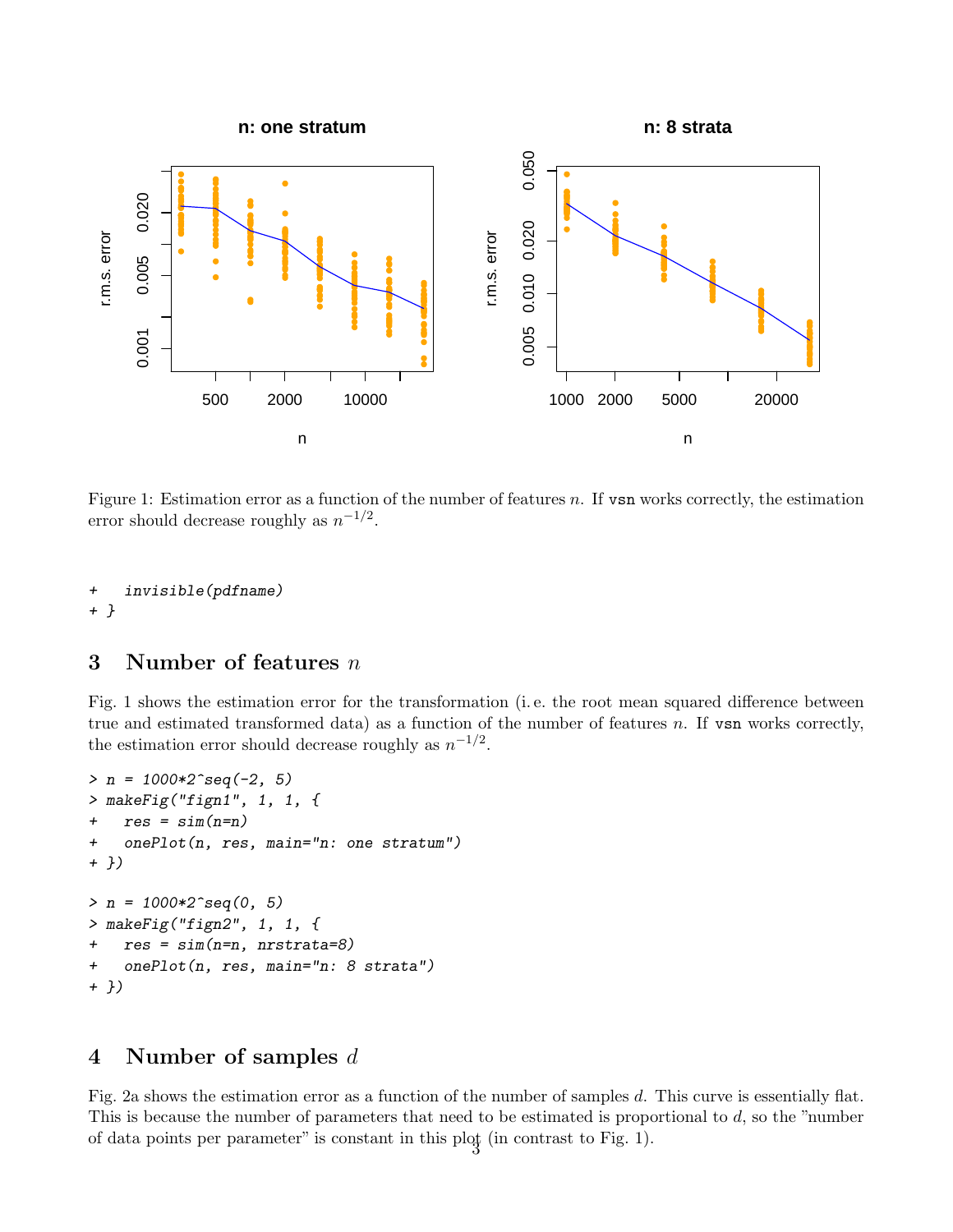

Figure 1: Estimation error as a function of the number of features  $n$ . If  $v \text{sn}$  works correctly, the estimation error should decrease roughly as  $n^{-1/2}$ .

```
+ invisible(pdfname)
+ }
```
### 3 Number of features  $n$

Fig. 1 shows the estimation error for the transformation (i. e. the root mean squared difference between true and estimated transformed data) as a function of the number of features  $n$ . If vsn works correctly, the estimation error should decrease roughly as  $n^{-1/2}$ .

```
> n = 1000*2^{\circ}seq(-2, 5)
> makeFig("fign1", 1, 1, {
+ res = sim(n=n)
+ onePlot(n, res, main="n: one stratum")
+ })
> n = 1000*2^{\circ}seq(0, 5)
> makeFig("fign2", 1, 1, {
+ res = sim(n=n, nrstrata=8)
+ onePlot(n, res, main="n: 8 strata")
+ })
```
#### 4 Number of samples d

Fig. 2a shows the estimation error as a function of the number of samples d. This curve is essentially flat. This is because the number of parameters that need to be estimated is proportional to  $d$ , so the "number" of data points per parameter" is constant in this plot (in contrast to Fig. 1).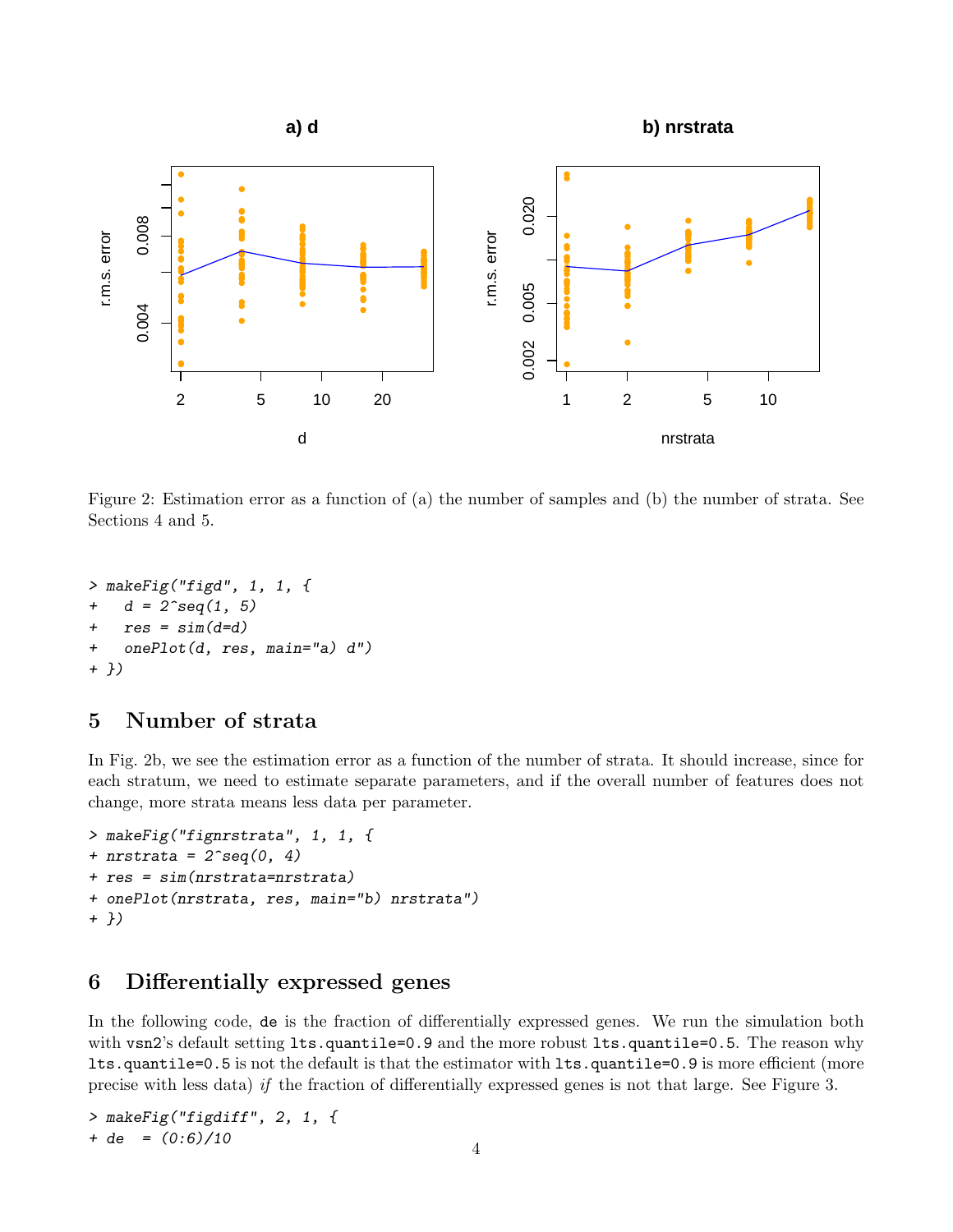

Figure 2: Estimation error as a function of (a) the number of samples and (b) the number of strata. See Sections 4 and 5.

```
> makeFig("figd", 1, 1, {
+ d = 2 \text{deg}(1, 5)+ res = sim(d=d)+ onePlot(d, res, main="a) d")
+ })
```
### 5 Number of strata

In Fig. 2b, we see the estimation error as a function of the number of strata. It should increase, since for each stratum, we need to estimate separate parameters, and if the overall number of features does not change, more strata means less data per parameter.

```
> makeFig("fignrstrata", 1, 1, {
+ nrstrata = 2^{\circ}seq(0, 4)
+ res = sim(nrstrata=nrstrata)
+ onePlot(nrstrata, res, main="b) nrstrata")
+ })
```
## 6 Differentially expressed genes

In the following code, de is the fraction of differentially expressed genes. We run the simulation both with vsn2's default setting lts.quantile=0.9 and the more robust lts.quantile=0.5. The reason why lts.quantile=0.5 is not the default is that the estimator with lts.quantile=0.9 is more efficient (more precise with less data) if the fraction of differentially expressed genes is not that large. See Figure 3.

> makeFig("figdiff", 2, 1, { + de =  $(0.6)/10$  4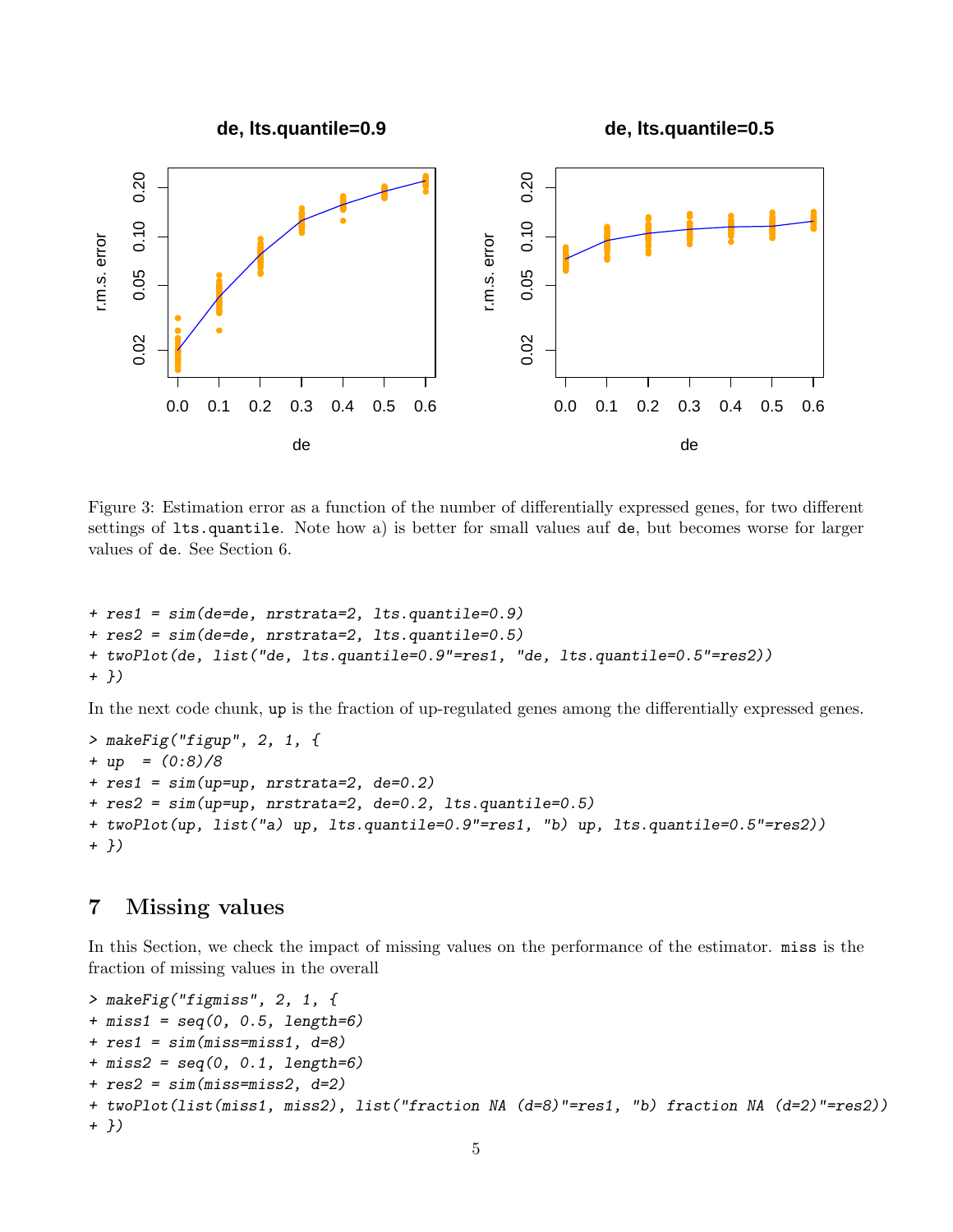

Figure 3: Estimation error as a function of the number of differentially expressed genes, for two different settings of lts.quantile. Note how a) is better for small values auf de, but becomes worse for larger values of de. See Section 6.

```
+ res1 = sim(de=de, nrstrata=2, lts.quantile=0.9)
+ res2 = sim(de=de, nrstrata=2, lts.quantile=0.5)
+ twoPlot(de, list("de, lts.quantile=0.9"=res1, "de, lts.quantile=0.5"=res2))
+ })
```
In the next code chunk, up is the fraction of up-regulated genes among the differentially expressed genes.

```
> makeFig("figup", 2, 1, {
+ up = (0.8)/8+ res1 = sim(up=up, nrstrata=2, de=0.2)
+ res2 = sim(up=up, nrstrata=2, de=0.2, lts.quantile=0.5)
+ twoPlot(up, list("a) up, lts.quantile=0.9"=res1, "b) up, lts.quantile=0.5"=res2))
+ })
```
### 7 Missing values

In this Section, we check the impact of missing values on the performance of the estimator. miss is the fraction of missing values in the overall

```
> makeFig("figmiss", 2, 1, {
+ miss1 = seq(0, 0.5, length=6)
+ res1 = sim(miss=miss1, d=8)
+ miss2 = seq(0, 0.1, length=6)
+ res2 = sim(miss=miss2, d=2)
+ twoPlot(list(miss1, miss2), list("fraction NA (d=8)"=res1, "b) fraction NA (d=2)"=res2))
+ })
```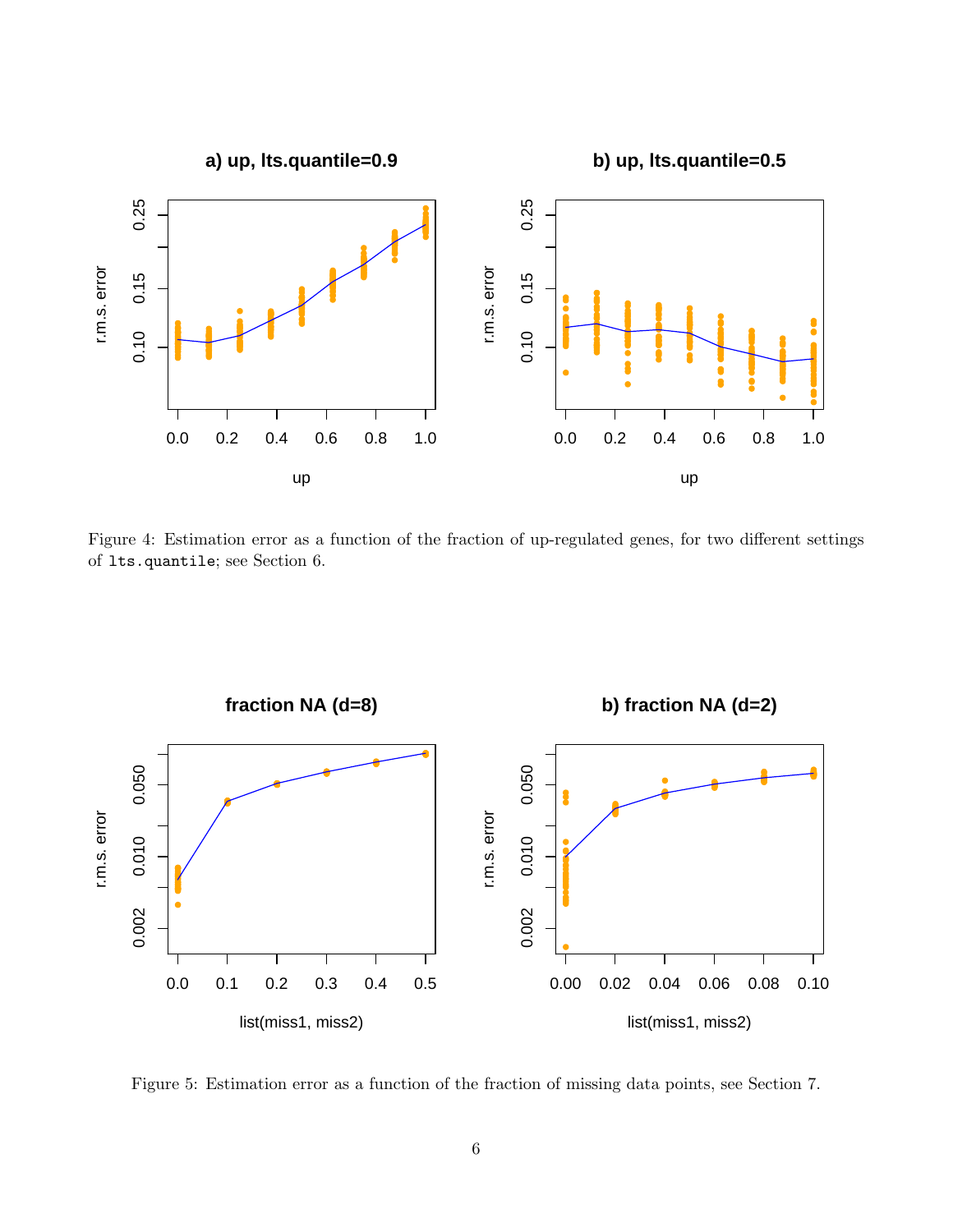

Figure 4: Estimation error as a function of the fraction of up-regulated genes, for two different settings of lts.quantile; see Section 6.



Figure 5: Estimation error as a function of the fraction of missing data points, see Section 7.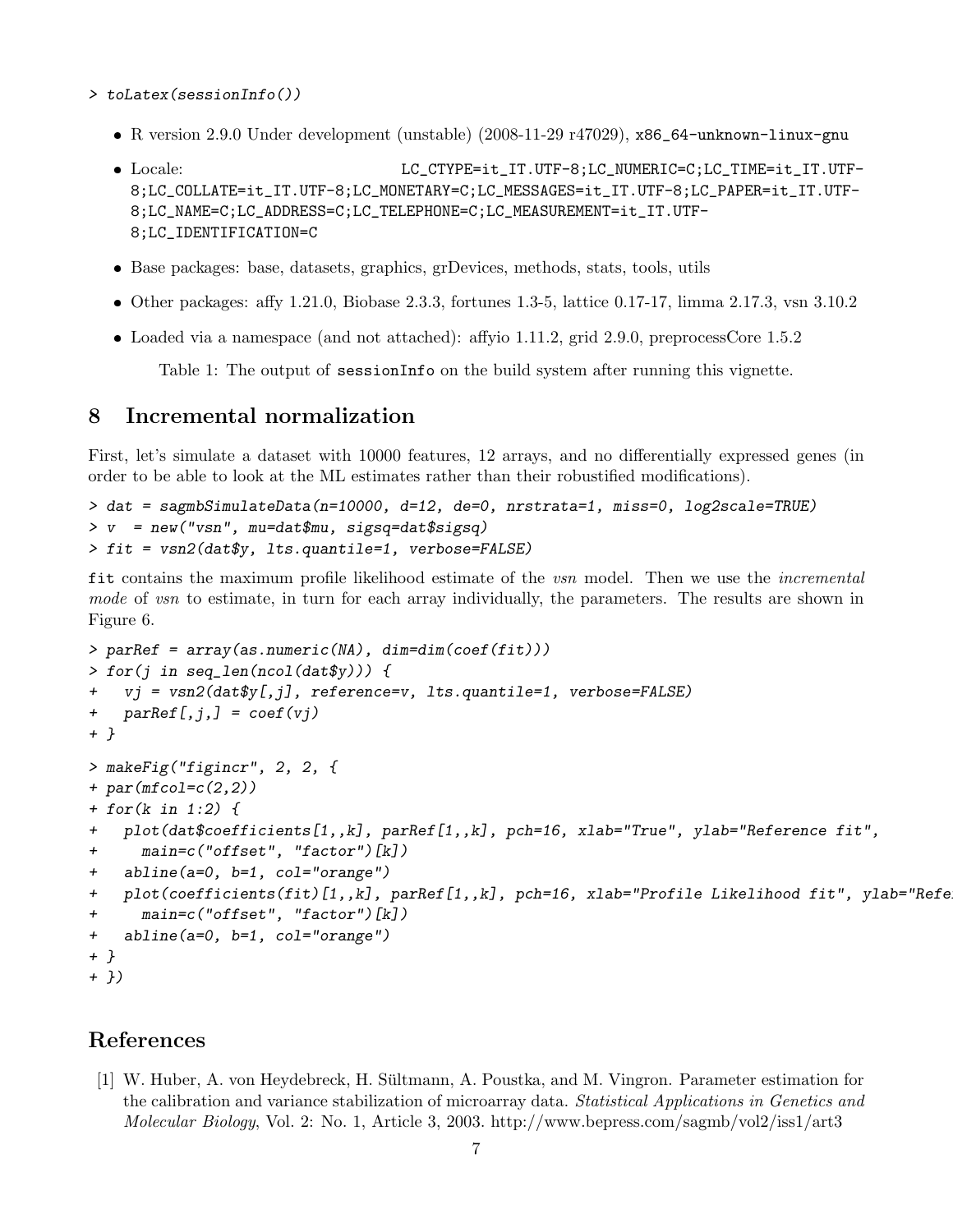- > toLatex(sessionInfo())
	- R version 2.9.0 Under development (unstable) (2008-11-29 r47029), x86\_64-unknown-linux-gnu
	- $\bullet$  Locale: LC\_CTYPE=it\_IT.UTF-8;LC\_NUMERIC=C;LC\_TIME=it\_IT.UTF-8;LC\_COLLATE=it\_IT.UTF-8;LC\_MONETARY=C;LC\_MESSAGES=it\_IT.UTF-8;LC\_PAPER=it\_IT.UTF-8;LC\_NAME=C;LC\_ADDRESS=C;LC\_TELEPHONE=C;LC\_MEASUREMENT=it\_IT.UTF-8;LC\_IDENTIFICATION=C
	- Base packages: base, datasets, graphics, grDevices, methods, stats, tools, utils
	- $\bullet$  Other packages: affy 1.21.0, Biobase 2.3.3, fortunes 1.3-5, lattice 0.17-17, limma 2.17.3, vsn 3.10.2
	- Loaded via a namespace (and not attached): affyio 1.11.2, grid 2.9.0, preprocessCore 1.5.2

Table 1: The output of sessionInfo on the build system after running this vignette.

#### 8 Incremental normalization

First, let's simulate a dataset with 10000 features, 12 arrays, and no differentially expressed genes (in order to be able to look at the ML estimates rather than their robustified modifications).

```
> dat = sagmbSimulateData(n=10000, d=12, de=0, nrstrata=1, miss=0, log2scale=TRUE)
> v = new("vsn", mu=dat$mu, sigsq=dat$sigsq)
> fit = vsn2(dat$y, lts.quantile=1, verbose=FALSE)
```
fit contains the maximum profile likelihood estimate of the *vsn* model. Then we use the *incremental* mode of vsn to estimate, in turn for each array individually, the parameters. The results are shown in Figure 6.

```
> parRef = array(as.numeric(NA), dim=dim(coef(fit)))
> for(j in seq_len(ncol(dat$y))) {
+ vj = vsn2(dat$y[,j], reference=v, lts.quantile=1, verbose=FALSE)
+ parRef[j,j] = coef(vj)+ }
> makeFig("figincr", 2, 2, {
+ par(mfcol=c(2,2))
+ for(k in 1:2) {
+ plot(dat$coefficients[1,,k], parRef[1,,k], pch=16, xlab="True", ylab="Reference fit",
+ main=c("offset", "factor")[k])
+ abline(a=0, b=1, col="orange")
+ plot(coefficients(fit)[1,,k], parRef[1,,k], pch=16, xlab="Profile Likelihood fit", ylab="Refe
+ main=c("offset", "factor")[k])
+ abline(a=0, b=1, col="orange")
+ }
+ })
```
### References

[1] W. Huber, A. von Heydebreck, H. Sultmann, A. Poustka, and M. Vingron. Parameter estimation for ¨ the calibration and variance stabilization of microarray data. Statistical Applications in Genetics and Molecular Biology, Vol. 2: No. 1, Article 3, 2003. http://www.bepress.com/sagmb/vol2/iss1/art3